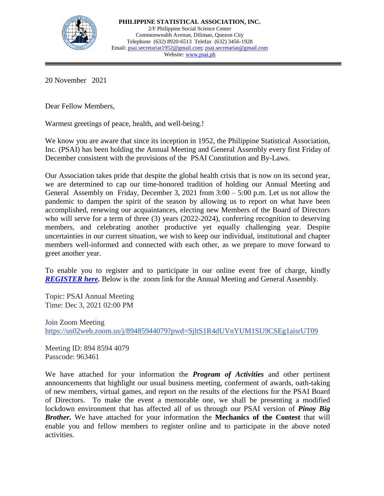

20 November 2021

Dear Fellow Members,

Warmest greetings of peace, health, and well-being.!

We know you are aware that since its inception in 1952, the Philippine Statistical Association, Inc. (PSAI) has been holding the Annual Meeting and General Assembly every first Friday of December consistent with the provisions of the PSAI Constitution and By-Laws.

Our Association takes pride that despite the global health crisis that is now on its second year, we are determined to cap our time-honored tradition of holding our Annual Meeting and General Assembly on Friday, December 3, 2021 from 3:00 – 5:00 p.m. Let us not allow the pandemic to dampen the spirit of the season by allowing us to report on what have been accomplished, renewing our acquaintances, electing new Members of the Board of Directors who will serve for a term of three (3) years (2022-2024), conferring recognition to deserving members, and celebrating another productive yet equally challenging year. Despite uncertainties in our current situation, we wish to keep our individual, institutional and chapter members well-informed and connected with each other, as we prepare to move forward to greet another year.

To enable you to register and to participate in our online event free of charge, kindly *[REGISTER here.](https://forms.gle/fG6AFqHThDA5M4Rg9)* Below is the zoom link for the Annual Meeting and General Assembly.

Topic: PSAI Annual Meeting Time: Dec 3, 2021 02:00 PM

Join Zoom Meeting <https://us02web.zoom.us/j/89485944079?pwd=SjltS1R4dUVnYUM1SU9CSEg1aisrUT09>

Meeting ID: 894 8594 4079 Passcode: 963461

We have attached for your information the *Program of Activities* and other pertinent announcements that highlight our usual business meeting, conferment of awards, oath-taking of new members, virtual games, and report on the results of the elections for the PSAI Board of Directors. To make the event a memorable one, we shall be presenting a modified lockdown environment that has affected all of us through our PSAI version of *Pinoy Big Brother.* We have attached for your information the **Mechanics of the Contest** that will enable you and fellow members to register online and to participate in the above noted activities.